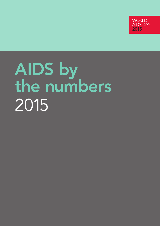

# AIDS by the numbers 2015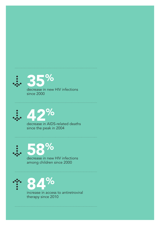







among children since 2000





therapy since 2010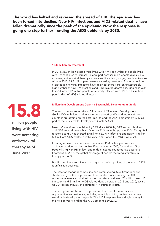The world has halted and reversed the spread of HIV. The epidemic has been forced into decline. New HIV infections and AIDS-related deaths have fallen dramatically since the peak of the epidemic. Now the response is going one step further—ending the AIDS epidemic by 2030.

#### 15.8 million on treatment

In 2014, 36.9 million people were living with HIV. The number of people living with HIV continues to increase, in large part because more people globally are accessing antiretroviral therapy and as a result are living longer, healthier lives. As of June 2015, 15.8 million people were accessing treatment. At the same time, even though new HIV infections have declined, there is still an unacceptably high number of new HIV infections and AIDS-related deaths occurring each year. In 2014, around 2 million people were newly infected with HIV and 1.2 million people died of AIDS-related illnesses.

#### Millennium Development Goals to Sustainable Development Goals

The world has exceeded the AIDS targets of Millennium Development Goal (MDG) 6, halting and reversing the spread of HIV, and more and more countries are getting on the Fast-Track to end the AIDS epidemic by 2030 as part of the Sustainable Development Goals (SDGs).

New HIV infections have fallen by 35% since 2000 (by 58% among children) and AIDS-related deaths have fallen by 42% since the peak in 2004. The global response to HIV has averted 30 million new HIV infections and nearly 8 million (7.8 million) AIDS-related deaths since 2000, when the MDGs were set.

Ensuring access to antiretroviral therapy for 15.8 million people is an achievement deemed impossible 15 years ago. In 2000, fewer than 1% of people living with HIV in low- and middle-income countries had access to treatment. In 2014, the global coverage of people receiving antiretroviral therapy was 40%.

But HIV continues to shine a harsh light on the inequalities of the world. AIDS is unfinished business.

The case for change is compelling and commanding. Significant gaps and shortcomings of the response must be rectified. Accelerating the AIDS response in low- and middle-income countries could avert 28 million new HIV infections and 21 million AIDS-related deaths between 2015 and 2030, saving US\$ 24 billion annually in additional HIV treatment costs.

The next phase of the AIDS response must account for new realities, opportunities and evidence, including a rapidly shifting context and a new sustainable development agenda. The AIDS response has a single priority for the next 15 years: ending the AIDS epidemic by 2030.



million people living with HIV were accessing antiretroviral therapy as of June 2015.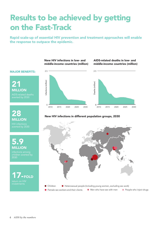### Results to be achieved by getting on the Fast-Track

Rapid scale-up of essential HIV prevention and treatment approaches will enable the response to outpace the epidemic.

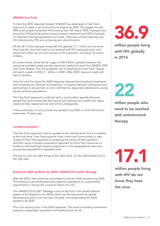#### UNAIDS Fast-Track

To take the AIDS response forward, UNAIDS has developed a Fast-Track approach to reach a set of time-bound targets by 2020. The targets include 90% of all people living with HIV knowing their HIV status, 90% of people who know their HIV-positive status having access to treatment and 90% of people on treatment having suppressed viral loads. They also include reducing new HIV infections by 75% and achieving zero discrimination.

Of the 36.9 million people living with HIV globally 17.1 million do not know they have the virus and need to be reached with HIV testing services, and around 22 million do not have access to HIV treatment, including 1.8 million children.

At current levels, there will be a gap of US\$ 9 billion globally between the resources available today and the resources needed to reach the UNAIDS 2020 Fast-Track Targets. The annual global cost of attaining the Fast-Track Targets will reach a peak of US\$ 31.1 billion in 2020. After 2020, resource needs will start to decline.

Over the next five years the AIDS response requires front-loading investments and increasing the diversity of investment, innovative delivery mechanisms and partnerships to ensure that no one is left behind, especially adolescents, young people and key populations.

The Fast-Track approach combined with a social justice agenda that puts people first and ensures that their sexual and reproductive health and rights needs are fully respected and met will be unstoppable.

If the world does not act to break the epidemic by 2020, it could rebound to levels seen 10 years ago.

#### Location–population

The Fast-Track approach may be guided at the national level, but it is realized at the local level. Fast-Track requires cities, towns and communities to take charge of their HIV responses by analysing the nature of their epidemic and then using a location–population approach to focus their resources on evidence-informed high-impact progammes in the geographical areas and among the populations in greatest need.

The key is to do the right things at the right place, for the right people and in the right way.

#### Ending the AIDS epidemic by 2030—UNAIDS 2016–2021 Strategy

With the SDGs, the world has committed to end the AIDS epidemic by 2030. This ambitious yet wholly attainable objective represents an unparalleled opportunity to change the course of history for ever.

The UNAIDS 2016–2021 Strategy is one of the first in the United Nations system to be aligned to the SDGs, which set the framework for global development policy over the next 15 years, including ending the AIDS epidemic by 2030.

This is an exciting time in the AIDS response. The world is building momentum towards a sustainable, equitable and healthy future for all.



million people living with HIV globally in 2014



million people who need to be reached with antiretroviral therapy

17.1

million people living with HIV do not know they have the virus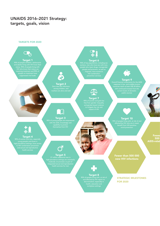#### UNAIDS 2016–2021 Strategy: targets, goals, vision

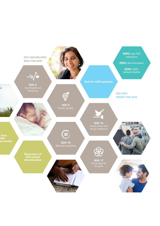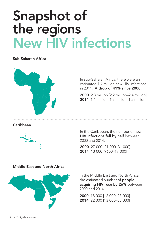## Snapshot of the regions New HIV infections

#### Sub-Saharan Africa



In sub-Saharan Africa, there were an estimated 1.4 million new HIV infections in 2014. A drop of 41% since 2000.

2000 2.3 million [2.2 million–2.4 million] 2014 1.4 million [1.2 million–1.5 million]

#### **Caribbean**



In the Caribbean, the number of new HIV infections fell by half between 2000 and 2014.

2000 27 000 [21 000–31 000] 2014 13 000 [9600–17 000]

#### Middle East and North Africa



In the Middle East and North Africa, the estimated number of **people** acquiring HIV rose by 26% between 2000 and 2014.

2000 18 000 [12 000–23 000] 2014 22 000 [13 000–33 000]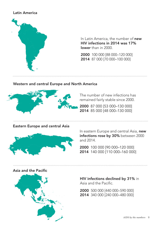#### Latin America



In Latin America, the number of new HIV infections in 2014 was 17% lower than in 2000

2000 100 000 [88 000–120 000] 2014 87 000 [70 000–100 000]

#### Western and central Europe and North America



The number of new infections has remained fairly stable since 2000.

2000 87 000 [53 000–130 000] 2014 85 000 [48 000–130 000]

#### Eastern Europe and central Asia



In eastern Europe and central Asia, new infections rose by 30% between 2000 and 2014.

2000 100 000 [90 000–120 000] 2014 140 000 [110 000–160 000]

#### Asia and the Pacific



HIV infections declined by 31% in Asia and the Pacific.

2000 500 000 [440 000–590 000] 2014 340 000 [240 000–480 000]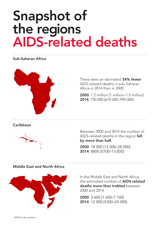### Snapshot of the regions AIDS-related deaths

#### Sub-Saharan Africa



There were an estimated 34% fewer AIDS-related deaths in sub-Saharan Africa in 2014 than in 2000.

2000 1.2 million [1 million–1.5 million] 2014 790 000 [670 000–990 000]

#### **Caribbean**



Between 2000 and 2014 the number of AIDS-related deaths in the region fell by more than half.

2000 18 000 [12 000–28 000] 2014 8800 [5700–13 000]

#### Middle East and North Africa



In the Middle East and North Africa, the estimated number of AIDS-related deaths more than trebled between 2000 and 2014.

2000 3 600 [1 600–7 100] 2014 12 000 [5300–24 000]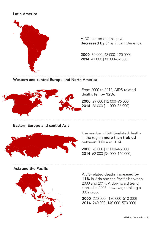#### Latin America



AIDS-related deaths have decreased by 31% in Latin America.

2000 60 000 [43 000–120 000] 2014 41 000 [30 000–82 000]

#### Western and central Europe and North America



From 2000 to 2014, AIDS-related deaths fell by 12%.

2000 29 000 [12 000–96 000] 2014 26 000 [11 000–86 000]

#### Eastern Europe and central Asia



The number of AIDS-related deaths in the region more than trebled between 2000 and 2014.

2000 20 000 [11 000–45 000] 2014 62 000 [34 000–140 000]

#### Asia and the Pacific



AIDS-related deaths increased by 11% in Asia and the Pacific between 2000 and 2014. A downward trend started in 2005, however, totalling a 30% drop.

2000 220 000 [130 000–510 000] 2014 240 000 [140 000–570 000]